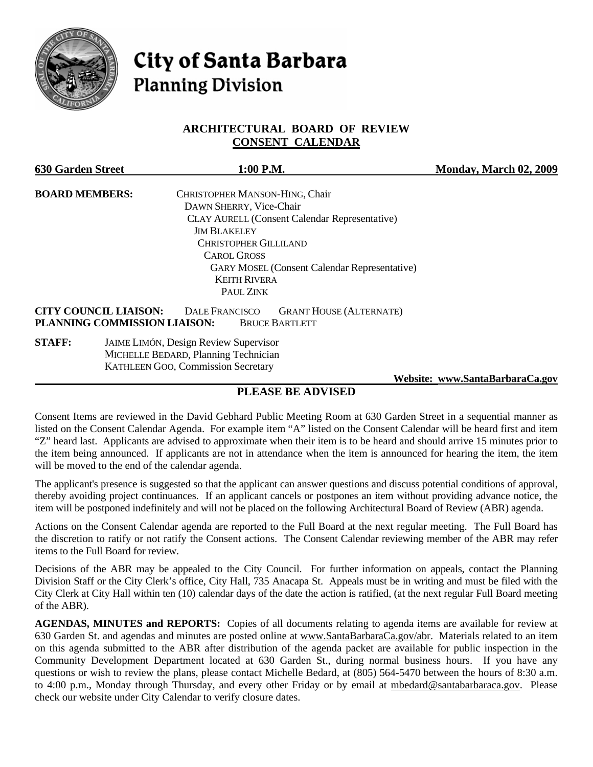

# **City of Santa Barbara Planning Division**

#### **ARCHITECTURAL BOARD OF REVIEW CONSENT CALENDAR**

| <b>630 Garden Street</b>     | 1:00 P.M.                                               | <b>Monday, March 02, 2009</b> |
|------------------------------|---------------------------------------------------------|-------------------------------|
| <b>BOARD MEMBERS:</b>        | CHRISTOPHER MANSON-HING, Chair                          |                               |
|                              | DAWN SHERRY, Vice-Chair                                 |                               |
|                              | <b>CLAY AURELL (Consent Calendar Representative)</b>    |                               |
|                              | <b>JIM BLAKELEY</b>                                     |                               |
|                              | <b>CHRISTOPHER GILLILAND</b>                            |                               |
|                              | <b>CAROL GROSS</b>                                      |                               |
|                              | <b>GARY MOSEL (Consent Calendar Representative)</b>     |                               |
|                              | <b>KEITH RIVERA</b>                                     |                               |
|                              | PAUL ZINK                                               |                               |
| <b>CITY COUNCIL LIAISON:</b> | <b>DALE FRANCISCO</b><br><b>GRANT HOUSE (ALTERNATE)</b> |                               |
|                              | PLANNING COMMISSION LIAISON:<br><b>BRUCE BARTLETT</b>   |                               |
| <b>STAFF:</b>                | <b>JAIME LIMÓN, Design Review Supervisor</b>            |                               |
|                              | MICHELLE BEDARD, Planning Technician                    |                               |
|                              | <b>KATHLEEN GOO, Commission Secretary</b>               |                               |
|                              |                                                         |                               |

 **Website: [www.SantaBarbaraCa.gov](http://www.santabarbaraca.gov/)**

### **PLEASE BE ADVISED**

Consent Items are reviewed in the David Gebhard Public Meeting Room at 630 Garden Street in a sequential manner as listed on the Consent Calendar Agenda. For example item "A" listed on the Consent Calendar will be heard first and item "Z" heard last. Applicants are advised to approximate when their item is to be heard and should arrive 15 minutes prior to the item being announced. If applicants are not in attendance when the item is announced for hearing the item, the item will be moved to the end of the calendar agenda.

The applicant's presence is suggested so that the applicant can answer questions and discuss potential conditions of approval, thereby avoiding project continuances. If an applicant cancels or postpones an item without providing advance notice, the item will be postponed indefinitely and will not be placed on the following Architectural Board of Review (ABR) agenda.

Actions on the Consent Calendar agenda are reported to the Full Board at the next regular meeting. The Full Board has the discretion to ratify or not ratify the Consent actions. The Consent Calendar reviewing member of the ABR may refer items to the Full Board for review.

Decisions of the ABR may be appealed to the City Council. For further information on appeals, contact the Planning Division Staff or the City Clerk's office, City Hall, 735 Anacapa St. Appeals must be in writing and must be filed with the City Clerk at City Hall within ten (10) calendar days of the date the action is ratified, (at the next regular Full Board meeting of the ABR).

**AGENDAS, MINUTES and REPORTS:** Copies of all documents relating to agenda items are available for review at 630 Garden St. and agendas and minutes are posted online at [www.SantaBarbaraCa.gov/abr.](http://www.santabarbaraca.gov/abr) Materials related to an item on this agenda submitted to the ABR after distribution of the agenda packet are available for public inspection in the Community Development Department located at 630 Garden St., during normal business hours. If you have any questions or wish to review the plans, please contact Michelle Bedard, at (805) 564-5470 between the hours of 8:30 a.m. to 4:00 p.m., Monday through Thursday, and every other Friday or by email at [mbedard@santabarbaraca.gov.](mailto:mbedard@santabarbaraca.gov) Please check our website under City Calendar to verify closure dates.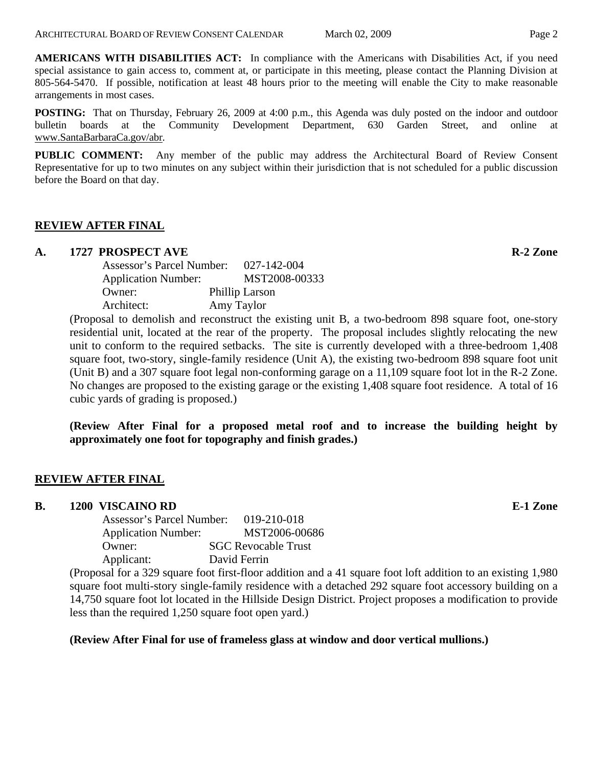**AMERICANS WITH DISABILITIES ACT:** In compliance with the Americans with Disabilities Act, if you need special assistance to gain access to, comment at, or participate in this meeting, please contact the Planning Division at 805-564-5470. If possible, notification at least 48 hours prior to the meeting will enable the City to make reasonable arrangements in most cases.

**POSTING:** That on Thursday, February 26, 2009 at 4:00 p.m., this Agenda was duly posted on the indoor and outdoor bulletin boards at the Community Development Department, 630 Garden Street, and online at [www.SantaBarbaraCa.gov/abr.](http://www.santabarbaraca.gov/abr)

**PUBLIC COMMENT:** Any member of the public may address the Architectural Board of Review Consent Representative for up to two minutes on any subject within their jurisdiction that is not scheduled for a public discussion before the Board on that day.

#### **REVIEW AFTER FINAL**

#### A. 1727 PROSPECT AVE **RACE ISLAMS**

| Assessor's Parcel Number:  | 027-142-004    |
|----------------------------|----------------|
| <b>Application Number:</b> | MST2008-00333  |
| Owner:                     | Phillip Larson |
| Architect:                 | Amy Taylor     |

(Proposal to demolish and reconstruct the existing unit B, a two-bedroom 898 square foot, one-story residential unit, located at the rear of the property. The proposal includes slightly relocating the new unit to conform to the required setbacks. The site is currently developed with a three-bedroom 1,408 square foot, two-story, single-family residence (Unit A), the existing two-bedroom 898 square foot unit (Unit B) and a 307 square foot legal non-conforming garage on a 11,109 square foot lot in the R-2 Zone. No changes are proposed to the existing garage or the existing 1,408 square foot residence. A total of 16 cubic yards of grading is proposed.)

**(Review After Final for a proposed metal roof and to increase the building height by approximately one foot for topography and finish grades.)** 

#### **REVIEW AFTER FINAL**

#### **B. 1200 VISCAINO RD E-1 Zone**

| Assessor's Parcel Number:  | 019-210-018                |
|----------------------------|----------------------------|
| <b>Application Number:</b> | MST2006-00686              |
| Owner:                     | <b>SGC Revocable Trust</b> |
| Applicant:                 | David Ferrin               |

(Proposal for a 329 square foot first-floor addition and a 41 square foot loft addition to an existing 1,980 square foot multi-story single-family residence with a detached 292 square foot accessory building on a 14,750 square foot lot located in the Hillside Design District. Project proposes a modification to provide less than the required 1,250 square foot open yard.)

#### **(Review After Final for use of frameless glass at window and door vertical mullions.)**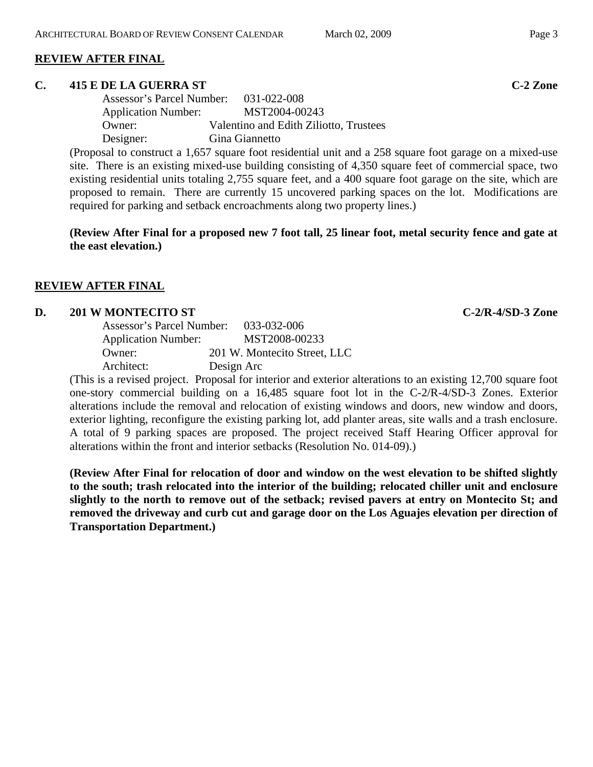#### **REVIEW AFTER FINAL**

#### **C. 415 E DE LA GUERRA ST C-2 Zone**

| Assessor's Parcel Number: 031-022-008 |                                        |
|---------------------------------------|----------------------------------------|
| <b>Application Number:</b>            | MST2004-00243                          |
| Owner:                                | Valentino and Edith Ziliotto, Trustees |
| Designer:                             | Gina Giannetto                         |

(Proposal to construct a 1,657 square foot residential unit and a 258 square foot garage on a mixed-use site. There is an existing mixed-use building consisting of 4,350 square feet of commercial space, two existing residential units totaling 2,755 square feet, and a 400 square foot garage on the site, which are proposed to remain. There are currently 15 uncovered parking spaces on the lot. Modifications are required for parking and setback encroachments along two property lines.)

**(Review After Final for a proposed new 7 foot tall, 25 linear foot, metal security fence and gate at the east elevation.)** 

#### **REVIEW AFTER FINAL**

#### **D.** 201 W MONTECITO ST C-2/R-4/SD-3 Zone

| Assessor's Parcel Number:  | 033-032-006                  |
|----------------------------|------------------------------|
| <b>Application Number:</b> | MST2008-00233                |
| Owner:                     | 201 W. Montecito Street, LLC |
| Architect:                 | Design Arc                   |

(This is a revised project. Proposal for interior and exterior alterations to an existing 12,700 square foot one-story commercial building on a 16,485 square foot lot in the C-2/R-4/SD-3 Zones. Exterior alterations include the removal and relocation of existing windows and doors, new window and doors, exterior lighting, reconfigure the existing parking lot, add planter areas, site walls and a trash enclosure. A total of 9 parking spaces are proposed. The project received Staff Hearing Officer approval for alterations within the front and interior setbacks (Resolution No. 014-09).)

**(Review After Final for relocation of door and window on the west elevation to be shifted slightly to the south; trash relocated into the interior of the building; relocated chiller unit and enclosure slightly to the north to remove out of the setback; revised pavers at entry on Montecito St; and removed the driveway and curb cut and garage door on the Los Aguajes elevation per direction of Transportation Department.)**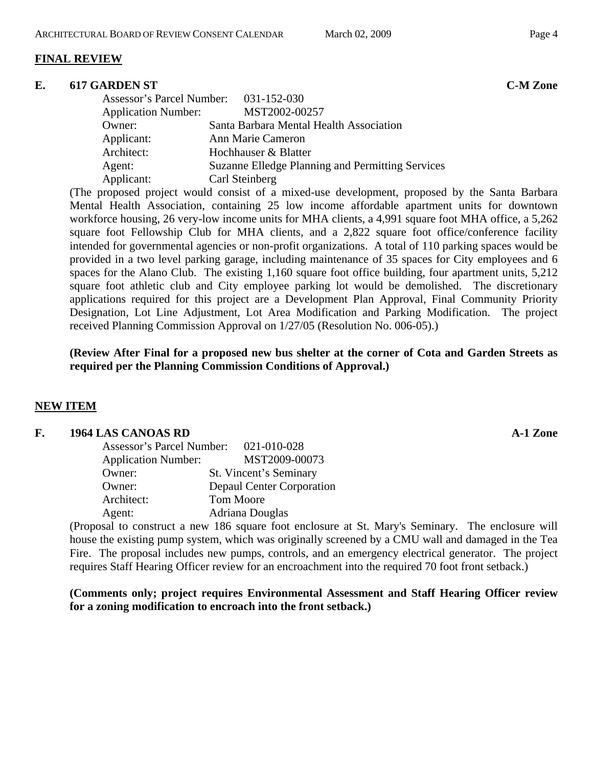### **FINAL REVIEW**

#### **E. 617 GARDEN ST C-M Zone**

| Assessor's Parcel Number: 031-152-030 |                                                  |
|---------------------------------------|--------------------------------------------------|
| <b>Application Number:</b>            | MST2002-00257                                    |
| Owner:                                | Santa Barbara Mental Health Association          |
| Applicant:                            | Ann Marie Cameron                                |
| Architect:                            | Hochhauser & Blatter                             |
| Agent:                                | Suzanne Elledge Planning and Permitting Services |
| Applicant:                            | Carl Steinberg                                   |

(The proposed project would consist of a mixed-use development, proposed by the Santa Barbara Mental Health Association, containing 25 low income affordable apartment units for downtown workforce housing, 26 very-low income units for MHA clients, a 4,991 square foot MHA office, a 5,262 square foot Fellowship Club for MHA clients, and a 2,822 square foot office/conference facility intended for governmental agencies or non-profit organizations. A total of 110 parking spaces would be provided in a two level parking garage, including maintenance of 35 spaces for City employees and 6 spaces for the Alano Club. The existing 1,160 square foot office building, four apartment units, 5,212 square foot athletic club and City employee parking lot would be demolished. The discretionary applications required for this project are a Development Plan Approval, Final Community Priority Designation, Lot Line Adjustment, Lot Area Modification and Parking Modification. The project received Planning Commission Approval on 1/27/05 (Resolution No. 006-05).)

**(Review After Final for a proposed new bus shelter at the corner of Cota and Garden Streets as required per the Planning Commission Conditions of Approval.)** 

#### **NEW ITEM**

#### F. 1964 LAS CANOAS RD **A-1 Zone A-1 Zone**

| Assessor's Parcel Number:  | 021-010-028               |
|----------------------------|---------------------------|
| <b>Application Number:</b> | MST2009-00073             |
| Owner:                     | St. Vincent's Seminary    |
| Owner:                     | Depaul Center Corporation |
| Architect:                 | Tom Moore                 |
| Agent:                     | Adriana Douglas           |

(Proposal to construct a new 186 square foot enclosure at St. Mary's Seminary. The enclosure will house the existing pump system, which was originally screened by a CMU wall and damaged in the Tea Fire. The proposal includes new pumps, controls, and an emergency electrical generator. The project requires Staff Hearing Officer review for an encroachment into the required 70 foot front setback.)

**(Comments only; project requires Environmental Assessment and Staff Hearing Officer review for a zoning modification to encroach into the front setback.)**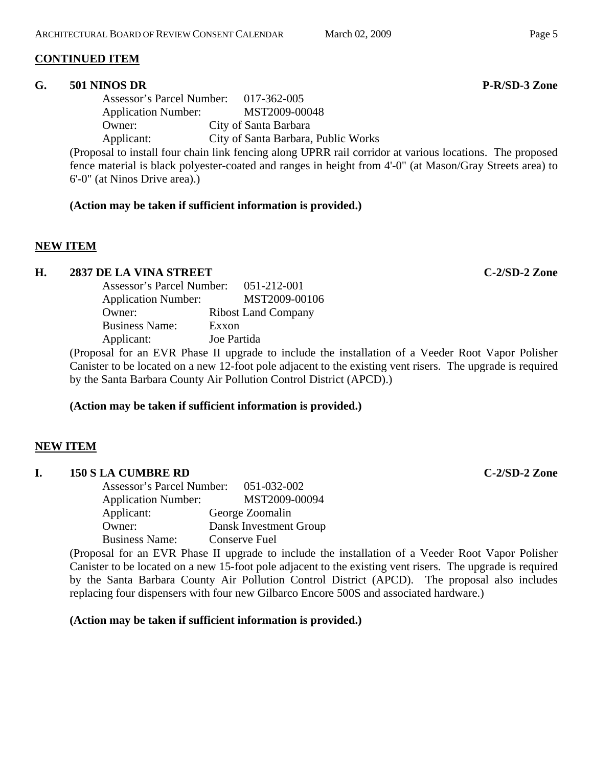# **CONTINUED ITEM**

# **G. 501 NINOS DR P-R/SD-3 Zone**

Assessor's Parcel Number: 017-362-005 Application Number: MST2009-00048 Owner: City of Santa Barbara Applicant: City of Santa Barbara, Public Works

(Proposal to install four chain link fencing along UPRR rail corridor at various locations. The proposed fence material is black polyester-coated and ranges in height from 4'-0" (at Mason/Gray Streets area) to 6'-0" (at Ninos Drive area).)

# **(Action may be taken if sufficient information is provided.)**

# **NEW ITEM**

# **H. 2837 DE LA VINA STREET C-2/SD-2 Zone**

Assessor's Parcel Number: 051-212-001 Application Number: MST2009-00106 Owner: Ribost Land Company Business Name: Exxon Applicant: Joe Partida

(Proposal for an EVR Phase II upgrade to include the installation of a Veeder Root Vapor Polisher Canister to be located on a new 12-foot pole adjacent to the existing vent risers. The upgrade is required by the Santa Barbara County Air Pollution Control District (APCD).)

# **(Action may be taken if sufficient information is provided.)**

# **NEW ITEM**

# **I. 150 S LA CUMBRE RD C-2/SD-2 Zone**

| Assessor's Parcel Number:  | 051-032-002            |
|----------------------------|------------------------|
| <b>Application Number:</b> | MST2009-00094          |
| Applicant:                 | George Zoomalin        |
| Owner:                     | Dansk Investment Group |
| <b>Business Name:</b>      | <b>Conserve Fuel</b>   |

(Proposal for an EVR Phase II upgrade to include the installation of a Veeder Root Vapor Polisher Canister to be located on a new 15-foot pole adjacent to the existing vent risers. The upgrade is required by the Santa Barbara County Air Pollution Control District (APCD). The proposal also includes replacing four dispensers with four new Gilbarco Encore 500S and associated hardware.)

# **(Action may be taken if sufficient information is provided.)**